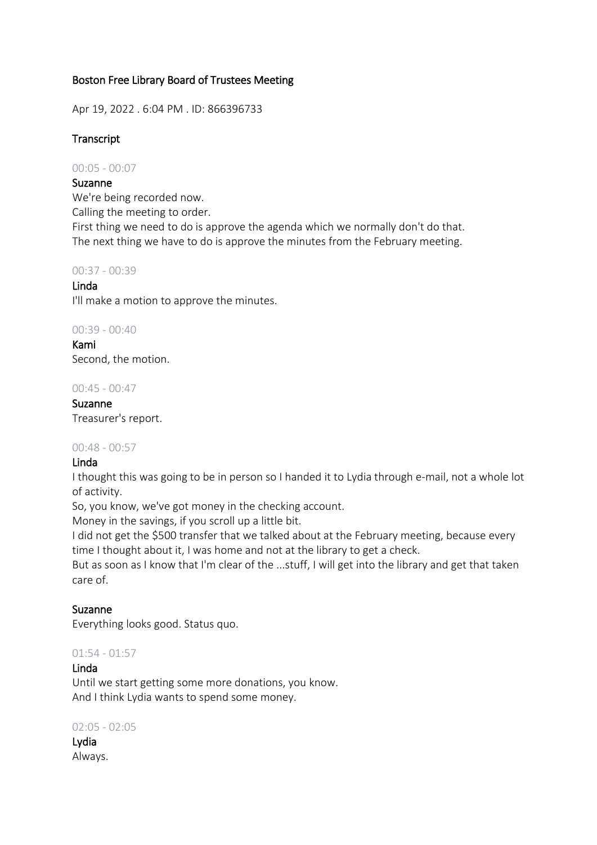## Boston Free Library Board of Trustees Meeting

Apr 19, 2022 . 6:04 PM . ID: 866396733

## **Transcript**

00:05 - 00:07

## Suzanne

We're being recorded now.

Calling the meeting to order.

First thing we need to do is approve the agenda which we normally don't do that. The next thing we have to do is approve the minutes from the February meeting.

## 00:37 - 00:39

## Linda

I'll make a motion to approve the minutes.

## 00:39 - 00:40

Kami Second, the motion.

## 00:45 - 00:47

Suzanne Treasurer's report.

## 00:48 - 00:57

## Linda

I thought this was going to be in person so I handed it to Lydia through e-mail, not a whole lot of activity.

So, you know, we've got money in the checking account.

Money in the savings, if you scroll up a little bit.

I did not get the \$500 transfer that we talked about at the February meeting, because every time I thought about it, I was home and not at the library to get a check.

But as soon as I know that I'm clear of the ...stuff, I will get into the library and get that taken care of.

## Suzanne

Everything looks good. Status quo.

## $01:54 - 01:57$

## Linda

Until we start getting some more donations, you know. And I think Lydia wants to spend some money.

## 02:05 - 02:05

Lydia Always.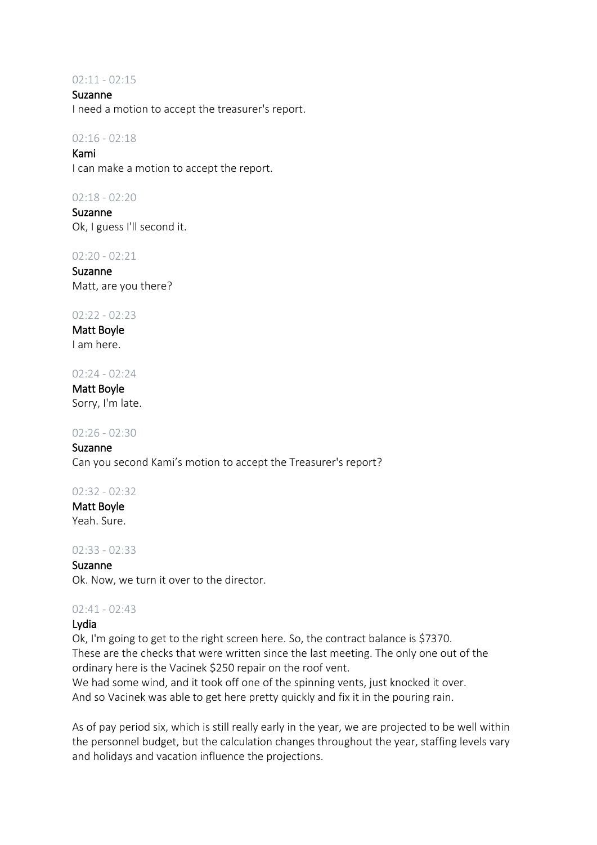#### $02:11 - 02:15$

Suzanne I need a motion to accept the treasurer's report.

### $02:16 - 02:18$

Kami I can make a motion to accept the report.

#### 02:18 - 02:20

Suzanne Ok, I guess I'll second it.

02:20 - 02:21

Suzanne Matt, are you there?

### 02:22 - 02:23

Matt Boyle I am here.

#### 02:24 - 02:24

Matt Boyle Sorry, I'm late.

#### 02:26 - 02:30

Suzanne Can you second Kami's motion to accept the Treasurer's report?

## 02:32 - 02:32

Matt Boyle Yeah. Sure.

#### 02:33 - 02:33

Suzanne

Ok. Now, we turn it over to the director.

#### 02:41 - 02:43

## Lydia

Ok, I'm going to get to the right screen here. So, the contract balance is \$7370. These are the checks that were written since the last meeting. The only one out of the ordinary here is the Vacinek \$250 repair on the roof vent.

We had some wind, and it took off one of the spinning vents, just knocked it over. And so Vacinek was able to get here pretty quickly and fix it in the pouring rain.

As of pay period six, which is still really early in the year, we are projected to be well within the personnel budget, but the calculation changes throughout the year, staffing levels vary and holidays and vacation influence the projections.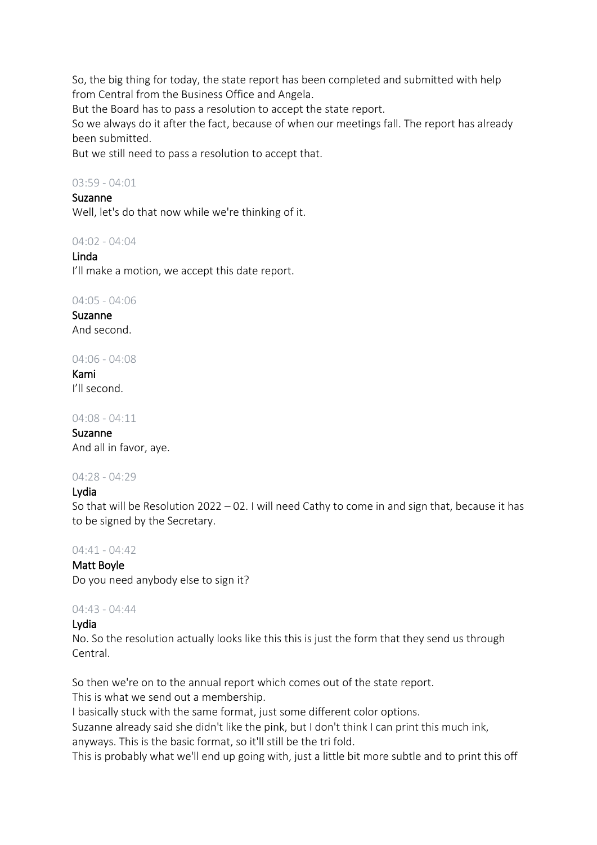So, the big thing for today, the state report has been completed and submitted with help from Central from the Business Office and Angela. But the Board has to pass a resolution to accept the state report.

So we always do it after the fact, because of when our meetings fall. The report has already been submitted.

But we still need to pass a resolution to accept that.

## $03.59 - 04.01$

## Suzanne

Well, let's do that now while we're thinking of it.

04:02 - 04:04

## Linda

I'll make a motion, we accept this date report.

04:05 - 04:06

Suzanne And second.

04:06 - 04:08

Kami I'll second.

04:08 - 04:11

Suzanne And all in favor, aye.

## 04:28 - 04:29

## Lydia

So that will be Resolution 2022 – 02. I will need Cathy to come in and sign that, because it has to be signed by the Secretary.

## 04:41 - 04:42

## Matt Boyle

Do you need anybody else to sign it?

## 04:43 - 04:44

## Lydia

No. So the resolution actually looks like this this is just the form that they send us through Central.

So then we're on to the annual report which comes out of the state report.

This is what we send out a membership.

I basically stuck with the same format, just some different color options.

Suzanne already said she didn't like the pink, but I don't think I can print this much ink, anyways. This is the basic format, so it'll still be the tri fold.

This is probably what we'll end up going with, just a little bit more subtle and to print this off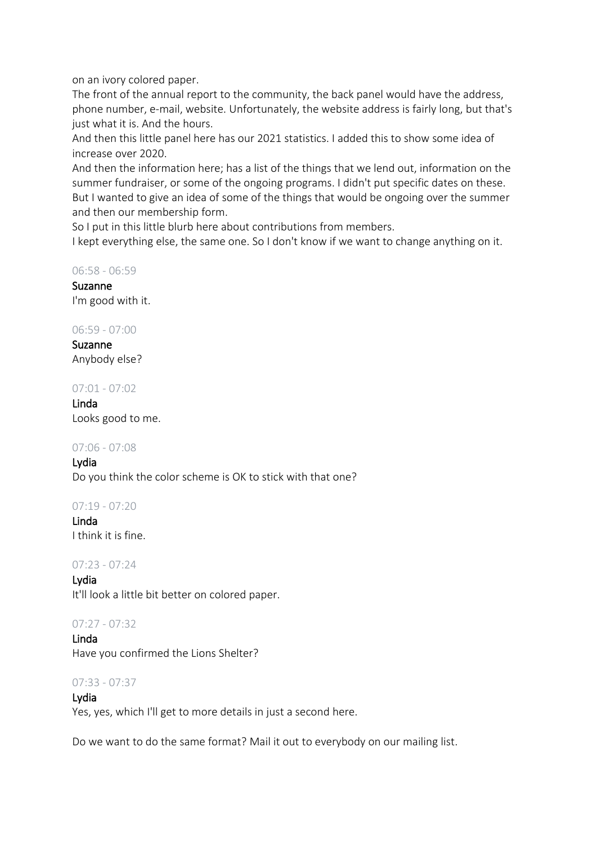on an ivory colored paper.

The front of the annual report to the community, the back panel would have the address, phone number, e-mail, website. Unfortunately, the website address is fairly long, but that's just what it is. And the hours.

And then this little panel here has our 2021 statistics. I added this to show some idea of increase over 2020.

And then the information here; has a list of the things that we lend out, information on the summer fundraiser, or some of the ongoing programs. I didn't put specific dates on these. But I wanted to give an idea of some of the things that would be ongoing over the summer and then our membership form.

So I put in this little blurb here about contributions from members.

I kept everything else, the same one. So I don't know if we want to change anything on it.

06:58 - 06:59

Suzanne I'm good with it.

06:59 - 07:00

Suzanne Anybody else?

07:01 - 07:02

Linda Looks good to me.

07:06 - 07:08

Lydia Do you think the color scheme is OK to stick with that one?

07:19 - 07:20

Linda I think it is fine.

07:23 - 07:24

Lydia It'll look a little bit better on colored paper.

 $07:27 - 07:32$ 

Linda Have you confirmed the Lions Shelter?

## 07:33 - 07:37

Lydia Yes, yes, which I'll get to more details in just a second here.

Do we want to do the same format? Mail it out to everybody on our mailing list.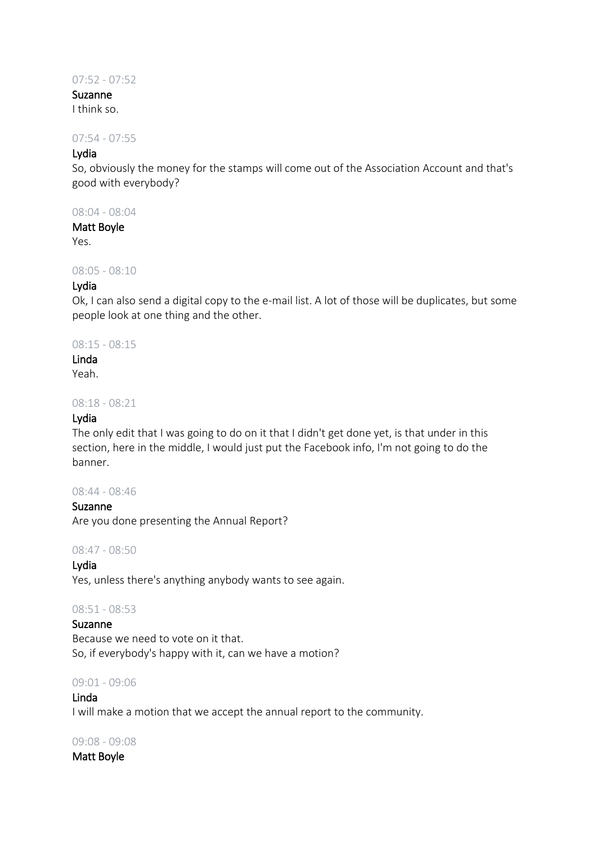## 07:52 - 07:52

## Suzanne

I think so.

## 07:54 - 07:55

## Lydia

So, obviously the money for the stamps will come out of the Association Account and that's good with everybody?

### 08:04 - 08:04

#### Matt Boyle

Yes.

## 08:05 - 08:10

## Lydia

Ok, I can also send a digital copy to the e-mail list. A lot of those will be duplicates, but some people look at one thing and the other.

### 08:15 - 08:15

## Linda

Yeah.

#### 08:18 - 08:21

### Lydia

The only edit that I was going to do on it that I didn't get done yet, is that under in this section, here in the middle, I would just put the Facebook info, I'm not going to do the banner.

#### 08:44 - 08:46

Suzanne Are you done presenting the Annual Report?

08:47 - 08:50

# Lydia

Yes, unless there's anything anybody wants to see again.

## 08:51 - 08:53

Suzanne Because we need to vote on it that. So, if everybody's happy with it, can we have a motion?

#### 09:01 - 09:06

Linda I will make a motion that we accept the annual report to the community.

#### 09:08 - 09:08

## Matt Boyle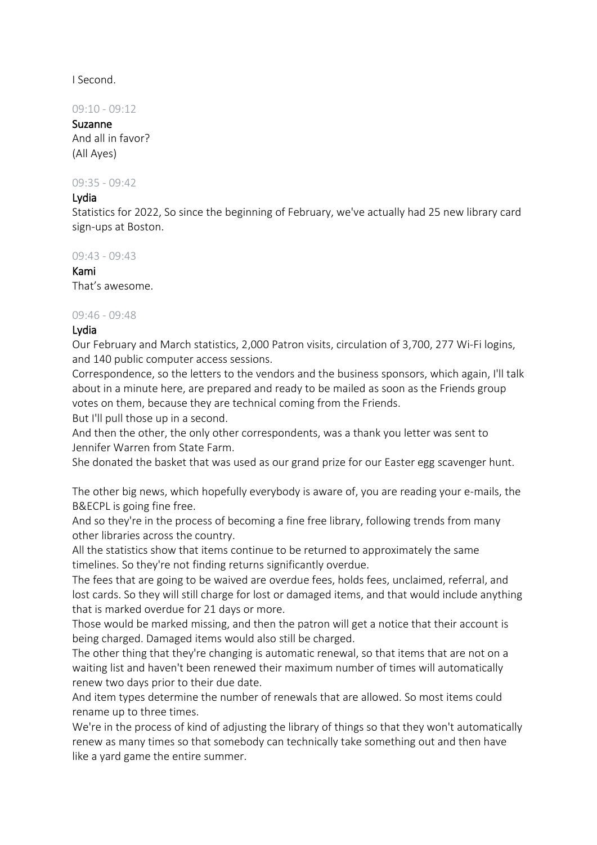I Second.

09:10 - 09:12

Suzanne And all in favor? (All Ayes)

09:35 - 09:42

### Lydia

Statistics for 2022, So since the beginning of February, we've actually had 25 new library card sign-ups at Boston.

09:43 - 09:43

Kami That's awesome.

## 09:46 - 09:48

## Lydia

Our February and March statistics, 2,000 Patron visits, circulation of 3,700, 277 Wi-Fi logins, and 140 public computer access sessions.

Correspondence, so the letters to the vendors and the business sponsors, which again, I'll talk about in a minute here, are prepared and ready to be mailed as soon as the Friends group votes on them, because they are technical coming from the Friends.

But I'll pull those up in a second.

And then the other, the only other correspondents, was a thank you letter was sent to Jennifer Warren from State Farm.

She donated the basket that was used as our grand prize for our Easter egg scavenger hunt.

The other big news, which hopefully everybody is aware of, you are reading your e-mails, the B&ECPL is going fine free.

And so they're in the process of becoming a fine free library, following trends from many other libraries across the country.

All the statistics show that items continue to be returned to approximately the same timelines. So they're not finding returns significantly overdue.

The fees that are going to be waived are overdue fees, holds fees, unclaimed, referral, and lost cards. So they will still charge for lost or damaged items, and that would include anything that is marked overdue for 21 days or more.

Those would be marked missing, and then the patron will get a notice that their account is being charged. Damaged items would also still be charged.

The other thing that they're changing is automatic renewal, so that items that are not on a waiting list and haven't been renewed their maximum number of times will automatically renew two days prior to their due date.

And item types determine the number of renewals that are allowed. So most items could rename up to three times.

We're in the process of kind of adjusting the library of things so that they won't automatically renew as many times so that somebody can technically take something out and then have like a yard game the entire summer.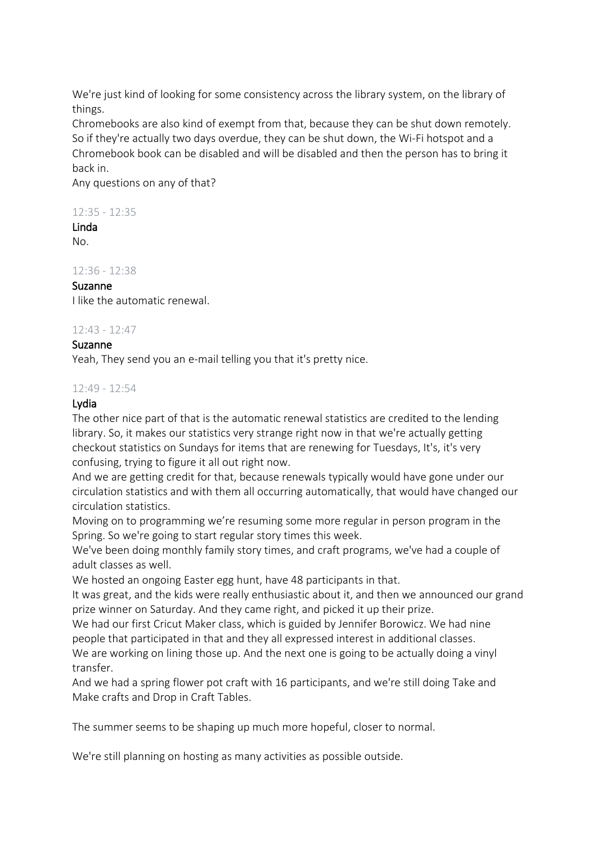We're just kind of looking for some consistency across the library system, on the library of things.

Chromebooks are also kind of exempt from that, because they can be shut down remotely. So if they're actually two days overdue, they can be shut down, the Wi-Fi hotspot and a Chromebook book can be disabled and will be disabled and then the person has to bring it back in.

Any questions on any of that?

## 12:35 - 12:35

# Linda

No.

 $12.36 - 12.38$ 

## Suzanne

I like the automatic renewal.

## 12:43 - 12:47

## Suzanne

Yeah, They send you an e-mail telling you that it's pretty nice.

## 12:49 - 12:54

## Lydia

The other nice part of that is the automatic renewal statistics are credited to the lending library. So, it makes our statistics very strange right now in that we're actually getting checkout statistics on Sundays for items that are renewing for Tuesdays, It's, it's very confusing, trying to figure it all out right now.

And we are getting credit for that, because renewals typically would have gone under our circulation statistics and with them all occurring automatically, that would have changed our circulation statistics.

Moving on to programming we're resuming some more regular in person program in the Spring. So we're going to start regular story times this week.

We've been doing monthly family story times, and craft programs, we've had a couple of adult classes as well.

We hosted an ongoing Easter egg hunt, have 48 participants in that.

It was great, and the kids were really enthusiastic about it, and then we announced our grand prize winner on Saturday. And they came right, and picked it up their prize.

We had our first Cricut Maker class, which is guided by Jennifer Borowicz. We had nine people that participated in that and they all expressed interest in additional classes.

We are working on lining those up. And the next one is going to be actually doing a vinyl transfer.

And we had a spring flower pot craft with 16 participants, and we're still doing Take and Make crafts and Drop in Craft Tables.

The summer seems to be shaping up much more hopeful, closer to normal.

We're still planning on hosting as many activities as possible outside.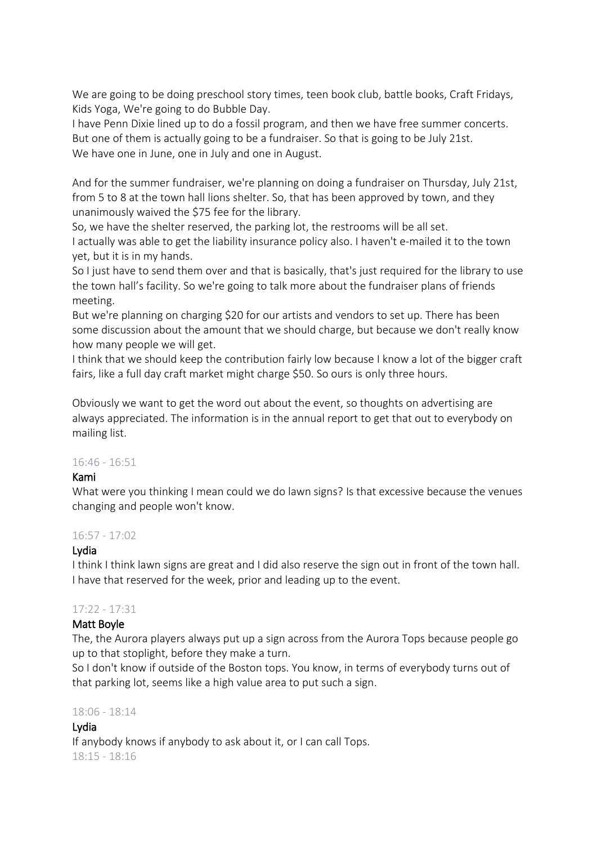We are going to be doing preschool story times, teen book club, battle books, Craft Fridays, Kids Yoga, We're going to do Bubble Day.

I have Penn Dixie lined up to do a fossil program, and then we have free summer concerts. But one of them is actually going to be a fundraiser. So that is going to be July 21st. We have one in June, one in July and one in August.

And for the summer fundraiser, we're planning on doing a fundraiser on Thursday, July 21st, from 5 to 8 at the town hall lions shelter. So, that has been approved by town, and they unanimously waived the \$75 fee for the library.

So, we have the shelter reserved, the parking lot, the restrooms will be all set. I actually was able to get the liability insurance policy also. I haven't e-mailed it to the town yet, but it is in my hands.

So I just have to send them over and that is basically, that's just required for the library to use the town hall's facility. So we're going to talk more about the fundraiser plans of friends meeting.

But we're planning on charging \$20 for our artists and vendors to set up. There has been some discussion about the amount that we should charge, but because we don't really know how many people we will get.

I think that we should keep the contribution fairly low because I know a lot of the bigger craft fairs, like a full day craft market might charge \$50. So ours is only three hours.

Obviously we want to get the word out about the event, so thoughts on advertising are always appreciated. The information is in the annual report to get that out to everybody on mailing list.

## 16:46 - 16:51

## Kami

What were you thinking I mean could we do lawn signs? Is that excessive because the venues changing and people won't know.

## 16:57 - 17:02

## Lydia

I think I think lawn signs are great and I did also reserve the sign out in front of the town hall. I have that reserved for the week, prior and leading up to the event.

## 17:22 - 17:31

## Matt Boyle

The, the Aurora players always put up a sign across from the Aurora Tops because people go up to that stoplight, before they make a turn.

So I don't know if outside of the Boston tops. You know, in terms of everybody turns out of that parking lot, seems like a high value area to put such a sign.

## 18:06 - 18:14

## Lydia

If anybody knows if anybody to ask about it, or I can call Tops. 18:15 - 18:16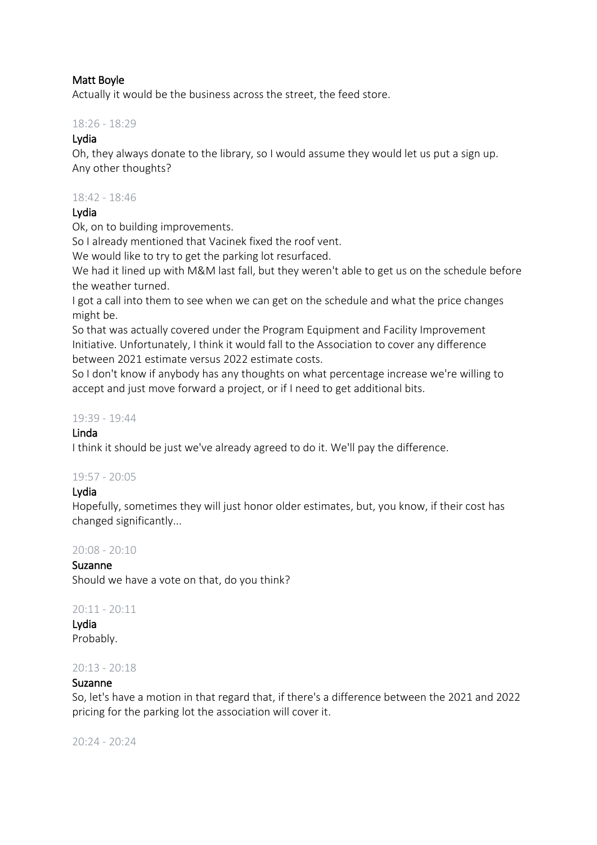## Matt Boyle

Actually it would be the business across the street, the feed store.

## 18:26 - 18:29

## Lydia

Oh, they always donate to the library, so I would assume they would let us put a sign up. Any other thoughts?

### 18:42 - 18:46

## Lydia

Ok, on to building improvements.

So I already mentioned that Vacinek fixed the roof vent.

We would like to try to get the parking lot resurfaced.

We had it lined up with M&M last fall, but they weren't able to get us on the schedule before the weather turned.

I got a call into them to see when we can get on the schedule and what the price changes might be.

So that was actually covered under the Program Equipment and Facility Improvement Initiative. Unfortunately, I think it would fall to the Association to cover any difference between 2021 estimate versus 2022 estimate costs.

So I don't know if anybody has any thoughts on what percentage increase we're willing to accept and just move forward a project, or if I need to get additional bits.

## 19:39 - 19:44

## Linda

I think it should be just we've already agreed to do it. We'll pay the difference.

## 19:57 - 20:05

## Lydia

Hopefully, sometimes they will just honor older estimates, but, you know, if their cost has changed significantly...

## 20:08 - 20:10

## Suzanne

Should we have a vote on that, do you think?

## 20:11 - 20:11

Lydia Probably.

## 20:13 - 20:18

## Suzanne

So, let's have a motion in that regard that, if there's a difference between the 2021 and 2022 pricing for the parking lot the association will cover it.

20:24 - 20:24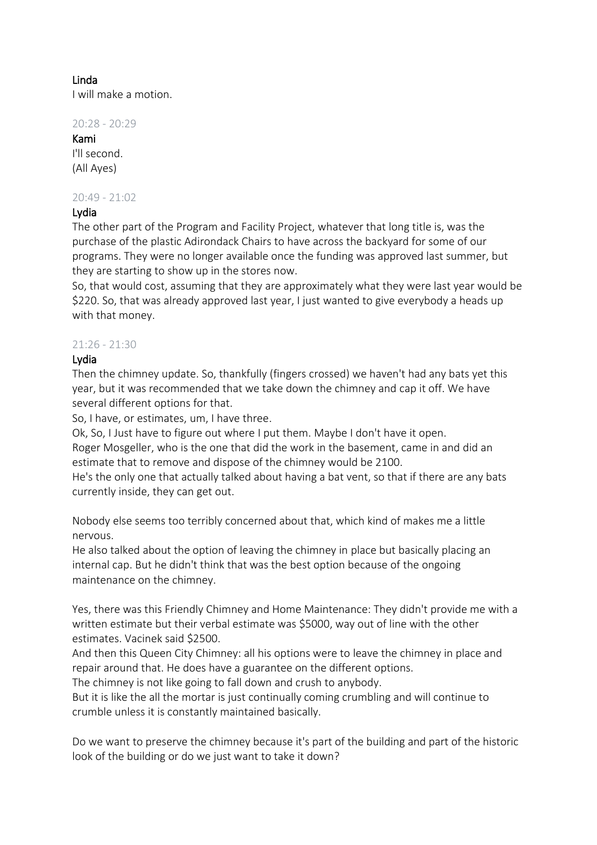## Linda

I will make a motion.

20:28 - 20:29

## Kami I'll second. (All Ayes)

## 20:49 - 21:02

## Lydia

The other part of the Program and Facility Project, whatever that long title is, was the purchase of the plastic Adirondack Chairs to have across the backyard for some of our programs. They were no longer available once the funding was approved last summer, but they are starting to show up in the stores now.

So, that would cost, assuming that they are approximately what they were last year would be \$220. So, that was already approved last year, I just wanted to give everybody a heads up with that money.

## $21:26 - 21:30$

## Lydia

Then the chimney update. So, thankfully (fingers crossed) we haven't had any bats yet this year, but it was recommended that we take down the chimney and cap it off. We have several different options for that.

So, I have, or estimates, um, I have three.

Ok, So, I Just have to figure out where I put them. Maybe I don't have it open.

Roger Mosgeller, who is the one that did the work in the basement, came in and did an estimate that to remove and dispose of the chimney would be 2100.

He's the only one that actually talked about having a bat vent, so that if there are any bats currently inside, they can get out.

Nobody else seems too terribly concerned about that, which kind of makes me a little nervous.

He also talked about the option of leaving the chimney in place but basically placing an internal cap. But he didn't think that was the best option because of the ongoing maintenance on the chimney.

Yes, there was this Friendly Chimney and Home Maintenance: They didn't provide me with a written estimate but their verbal estimate was \$5000, way out of line with the other estimates. Vacinek said \$2500.

And then this Queen City Chimney: all his options were to leave the chimney in place and repair around that. He does have a guarantee on the different options.

The chimney is not like going to fall down and crush to anybody.

But it is like the all the mortar is just continually coming crumbling and will continue to crumble unless it is constantly maintained basically.

Do we want to preserve the chimney because it's part of the building and part of the historic look of the building or do we just want to take it down?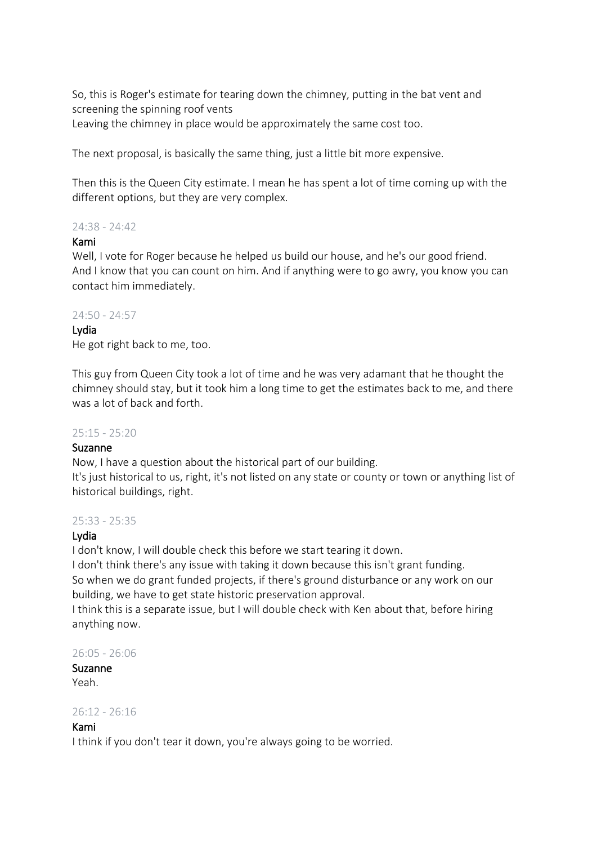So, this is Roger's estimate for tearing down the chimney, putting in the bat vent and screening the spinning roof vents Leaving the chimney in place would be approximately the same cost too.

The next proposal, is basically the same thing, just a little bit more expensive.

Then this is the Queen City estimate. I mean he has spent a lot of time coming up with the different options, but they are very complex.

## 24:38 - 24:42

## Kami

Well, I vote for Roger because he helped us build our house, and he's our good friend. And I know that you can count on him. And if anything were to go awry, you know you can contact him immediately.

## 24:50 - 24:57

## Lydia

He got right back to me, too.

This guy from Queen City took a lot of time and he was very adamant that he thought the chimney should stay, but it took him a long time to get the estimates back to me, and there was a lot of back and forth.

## 25:15 - 25:20

## Suzanne

Now, I have a question about the historical part of our building.

It's just historical to us, right, it's not listed on any state or county or town or anything list of historical buildings, right.

## 25:33 - 25:35

## Lydia

I don't know, I will double check this before we start tearing it down.

I don't think there's any issue with taking it down because this isn't grant funding.

So when we do grant funded projects, if there's ground disturbance or any work on our building, we have to get state historic preservation approval.

I think this is a separate issue, but I will double check with Ken about that, before hiring anything now.

26:05 - 26:06

#### Suzanne Yeah.

## 26:12 - 26:16

## Kami

I think if you don't tear it down, you're always going to be worried.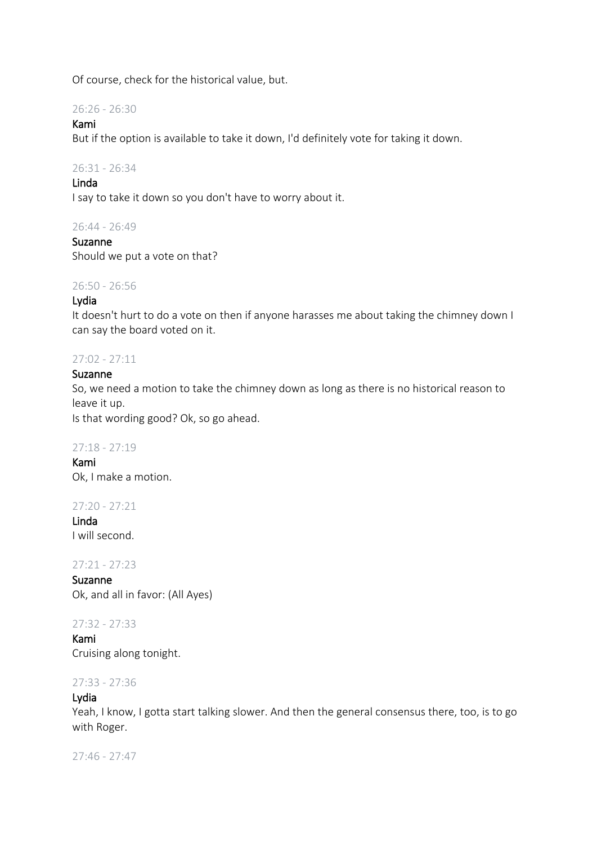Of course, check for the historical value, but.

26:26 - 26:30

### Kami

But if the option is available to take it down, I'd definitely vote for taking it down.

### 26:31 - 26:34

### Linda

I say to take it down so you don't have to worry about it.

## 26:44 - 26:49

Suzanne Should we put a vote on that?

#### 26:50 - 26:56

### Lydia

It doesn't hurt to do a vote on then if anyone harasses me about taking the chimney down I can say the board voted on it.

### 27:02 - 27:11

### Suzanne

So, we need a motion to take the chimney down as long as there is no historical reason to leave it up.

Is that wording good? Ok, so go ahead.

#### 27:18 - 27:19

Kami Ok, I make a motion.

27:20 - 27:21

Linda I will second.

27:21 - 27:23

Suzanne Ok, and all in favor: (All Ayes)

27:32 - 27:33

Kami Cruising along tonight.

### 27:33 - 27:36

#### Lydia

Yeah, I know, I gotta start talking slower. And then the general consensus there, too, is to go with Roger.

27:46 - 27:47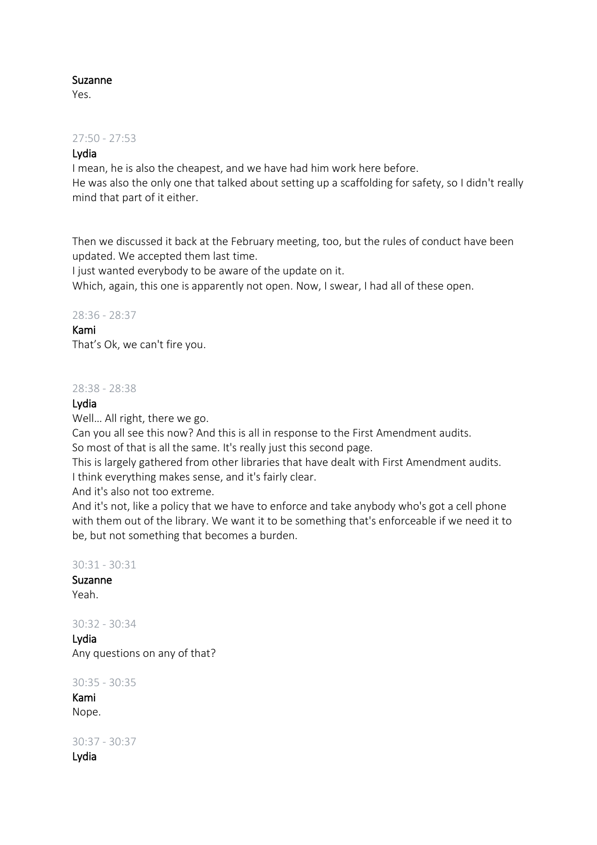## Suzanne

Yes.

### 27:50 - 27:53

## Lydia

I mean, he is also the cheapest, and we have had him work here before. He was also the only one that talked about setting up a scaffolding for safety, so I didn't really mind that part of it either.

Then we discussed it back at the February meeting, too, but the rules of conduct have been updated. We accepted them last time.

I just wanted everybody to be aware of the update on it.

Which, again, this one is apparently not open. Now, I swear, I had all of these open.

### 28:36 - 28:37

### Kami

That's Ok, we can't fire you.

#### 28:38 - 28:38

### Lydia

Well… All right, there we go.

Can you all see this now? And this is all in response to the First Amendment audits.

So most of that is all the same. It's really just this second page.

This is largely gathered from other libraries that have dealt with First Amendment audits. I think everything makes sense, and it's fairly clear.

And it's also not too extreme.

And it's not, like a policy that we have to enforce and take anybody who's got a cell phone with them out of the library. We want it to be something that's enforceable if we need it to be, but not something that becomes a burden.

### 30:31 - 30:31

Suzanne Yeah.

30:32 - 30:34

Lydia Any questions on any of that?

30:35 - 30:35

Kami Nope.

30:37 - 30:37 Lydia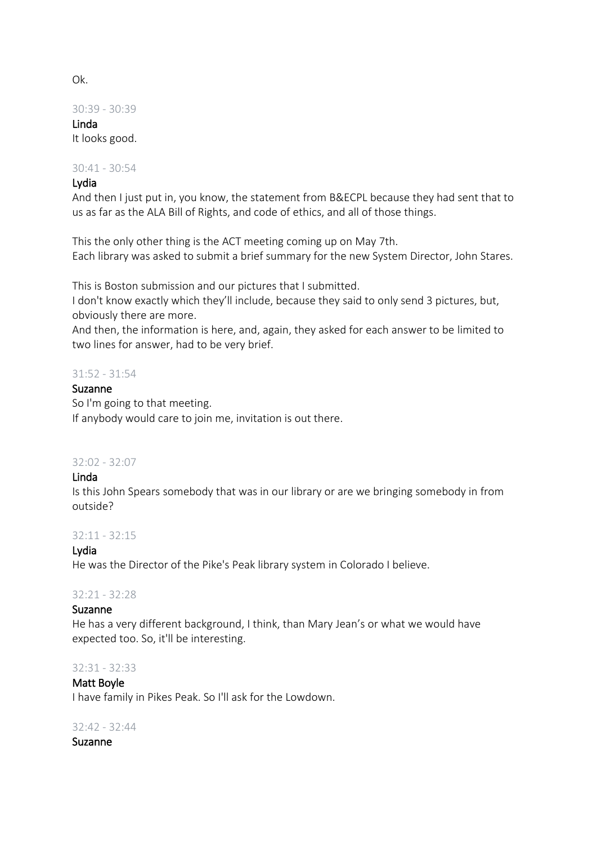Ok.

30:39 - 30:39

Linda It looks good.

#### 30:41 - 30:54

#### Lydia

And then I just put in, you know, the statement from B&ECPL because they had sent that to us as far as the ALA Bill of Rights, and code of ethics, and all of those things.

This the only other thing is the ACT meeting coming up on May 7th. Each library was asked to submit a brief summary for the new System Director, John Stares.

This is Boston submission and our pictures that I submitted.

I don't know exactly which they'll include, because they said to only send 3 pictures, but, obviously there are more.

And then, the information is here, and, again, they asked for each answer to be limited to two lines for answer, had to be very brief.

#### 31:52 - 31:54

#### Suzanne

So I'm going to that meeting. If anybody would care to join me, invitation is out there.

#### 32:02 - 32:07

#### Linda

Is this John Spears somebody that was in our library or are we bringing somebody in from outside?

#### 32:11 - 32:15

## Lydia

He was the Director of the Pike's Peak library system in Colorado I believe.

#### 32:21 - 32:28

#### Suzanne

He has a very different background, I think, than Mary Jean's or what we would have expected too. So, it'll be interesting.

#### 32:31 - 32:33

## Matt Boyle

I have family in Pikes Peak. So I'll ask for the Lowdown.

#### 32:42 - 32:44

Suzanne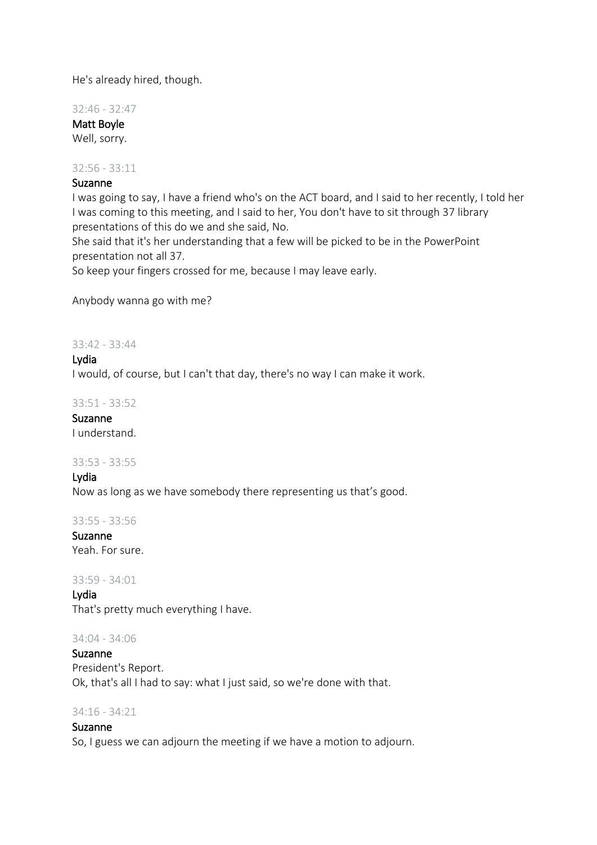He's already hired, though.

32:46 - 32:47

Matt Boyle Well, sorry.

32:56 - 33:11

## Suzanne

I was going to say, I have a friend who's on the ACT board, and I said to her recently, I told her I was coming to this meeting, and I said to her, You don't have to sit through 37 library presentations of this do we and she said, No.

She said that it's her understanding that a few will be picked to be in the PowerPoint presentation not all 37.

So keep your fingers crossed for me, because I may leave early.

Anybody wanna go with me?

33:42 - 33:44

Lydia I would, of course, but I can't that day, there's no way I can make it work.

 $33.51 - 33.52$ 

Suzanne I understand.

#### 33:53 - 33:55

Lydia Now as long as we have somebody there representing us that's good.

33:55 - 33:56

Suzanne Yeah. For sure.

## 33:59 - 34:01

Lydia That's pretty much everything I have.

## 34:04 - 34:06

Suzanne President's Report. Ok, that's all I had to say: what I just said, so we're done with that.

## 34:16 - 34:21

## Suzanne

So, I guess we can adjourn the meeting if we have a motion to adjourn.